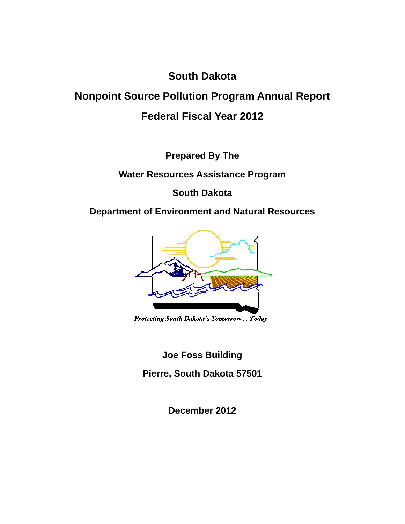# **South Dakota**

# **Nonpoint Source Pollution Program Annual Report Federal Fiscal Year 2012**

**Prepared By The** 

**Water Resources Assistance Program** 

**South Dakota** 

**Department of Environment and Natural Resources** 



Protecting South Dakota's Tomorrow ... Today

**Joe Foss Building** 

**Pierre, South Dakota 57501** 

**December 2012**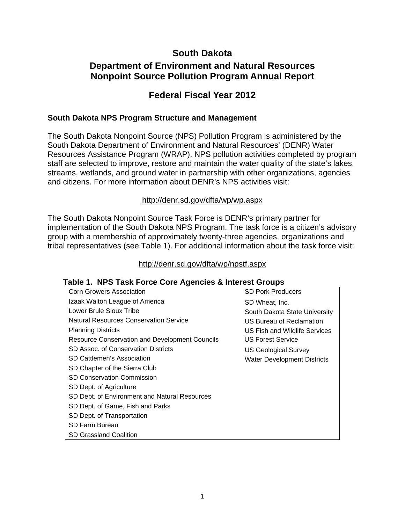# **South Dakota**

# **Department of Environment and Natural Resources Nonpoint Source Pollution Program Annual Report**

# **Federal Fiscal Year 2012**

#### **South Dakota NPS Program Structure and Management**

The South Dakota Nonpoint Source (NPS) Pollution Program is administered by the South Dakota Department of Environment and Natural Resources' (DENR) Water Resources Assistance Program (WRAP). NPS pollution activities completed by program staff are selected to improve, restore and maintain the water quality of the state's lakes, streams, wetlands, and ground water in partnership with other organizations, agencies and citizens. For more information about DENR's NPS activities visit:

#### http://denr.sd.gov/dfta/wp/wp.aspx

The South Dakota Nonpoint Source Task Force is DENR's primary partner for implementation of the South Dakota NPS Program. The task force is a citizen's advisory group with a membership of approximately twenty-three agencies, organizations and tribal representatives (see Table 1). For additional information about the task force visit:

#### http://denr.sd.gov/dfta/wp/npstf.aspx

#### **Table 1. NPS Task Force Core Agencies & Interest Groups**

| <b>Corn Growers Association</b>                | <b>SD Pork Producers</b>             |
|------------------------------------------------|--------------------------------------|
| Izaak Walton League of America                 | SD Wheat, Inc.                       |
| Lower Brule Sioux Tribe                        | South Dakota State University        |
| Natural Resources Conservation Service         | US Bureau of Reclamation             |
| <b>Planning Districts</b>                      | <b>US Fish and Wildlife Services</b> |
| Resource Conservation and Development Councils | <b>US Forest Service</b>             |
| SD Assoc. of Conservation Districts            | <b>US Geological Survey</b>          |
| SD Cattlemen's Association                     | <b>Water Development Districts</b>   |
| SD Chapter of the Sierra Club                  |                                      |
| <b>SD Conservation Commission</b>              |                                      |
| SD Dept. of Agriculture                        |                                      |
| SD Dept. of Environment and Natural Resources  |                                      |
| SD Dept. of Game, Fish and Parks               |                                      |
| SD Dept. of Transportation                     |                                      |
| SD Farm Bureau                                 |                                      |
| <b>SD Grassland Coalition</b>                  |                                      |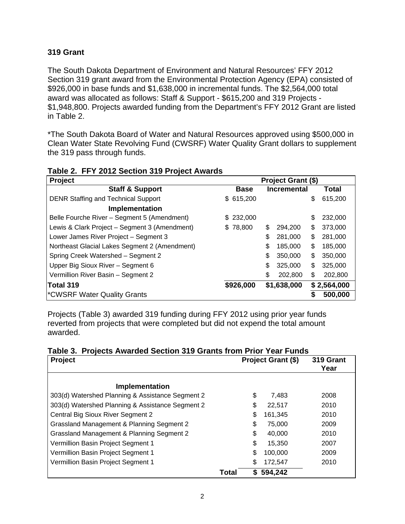#### **319 Grant**

The South Dakota Department of Environment and Natural Resources' FFY 2012 Section 319 grant award from the Environmental Protection Agency (EPA) consisted of \$926,000 in base funds and \$1,638,000 in incremental funds. The \$2,564,000 total award was allocated as follows: Staff & Support - \$615,200 and 319 Projects - \$1,948,800. Projects awarded funding from the Department's FFY 2012 Grant are listed in Table 2.

\*The South Dakota Board of Water and Natural Resources approved using \$500,000 in Clean Water State Revolving Fund (CWSRF) Water Quality Grant dollars to supplement the 319 pass through funds.

| Project                                       | Project Grant (\$) |             |    |                    |    |             |
|-----------------------------------------------|--------------------|-------------|----|--------------------|----|-------------|
| <b>Staff &amp; Support</b>                    |                    | <b>Base</b> |    | <b>Incremental</b> |    | Total       |
| <b>DENR Staffing and Technical Support</b>    |                    | \$615,200   |    |                    | \$ | 615,200     |
| <b>Implementation</b>                         |                    |             |    |                    |    |             |
| Belle Fourche River - Segment 5 (Amendment)   |                    | \$232,000   |    |                    | \$ | 232,000     |
| Lewis & Clark Project – Segment 3 (Amendment) |                    | \$78,800    | \$ | 294.200            | \$ | 373,000     |
| Lower James River Project - Segment 3         |                    |             | \$ | 281,000            | \$ | 281,000     |
| Northeast Glacial Lakes Segment 2 (Amendment) |                    |             | \$ | 185,000            | \$ | 185,000     |
| Spring Creek Watershed - Segment 2            |                    |             | \$ | 350,000            | \$ | 350,000     |
| Upper Big Sioux River - Segment 6             |                    |             | \$ | 325,000            | \$ | 325,000     |
| Vermillion River Basin - Segment 2            |                    |             | \$ | 202,800            | \$ | 202,800     |
| Total 319                                     |                    | \$926,000   |    | \$1,638,000        |    | \$2,564,000 |
| CWSRF Water Quality Grants <sup>*</sup>       |                    |             |    |                    | S  | 500,000     |

**Table 2. FFY 2012 Section 319 Project Awards** 

Projects (Table 3) awarded 319 funding during FFY 2012 using prior year funds reverted from projects that were completed but did not expend the total amount awarded.

|  | Table 3. Projects Awarded Section 319 Grants from Prior Year Funds |  |  |  |  |
|--|--------------------------------------------------------------------|--|--|--|--|
|  |                                                                    |  |  |  |  |

| <b>Project</b>                                   | Project Grant (\$) |    | 319 Grant<br>Year |      |
|--------------------------------------------------|--------------------|----|-------------------|------|
| <b>Implementation</b>                            |                    |    |                   |      |
| 303(d) Watershed Planning & Assistance Segment 2 |                    | \$ | 7,483             | 2008 |
| 303(d) Watershed Planning & Assistance Segment 2 |                    | \$ | 22,517            | 2010 |
| Central Big Sioux River Segment 2                |                    | \$ | 161,345           | 2010 |
| Grassland Management & Planning Segment 2        |                    | \$ | 75,000            | 2009 |
| Grassland Management & Planning Segment 2        |                    | \$ | 40.000            | 2010 |
| Vermillion Basin Project Segment 1               |                    | \$ | 15,350            | 2007 |
| Vermillion Basin Project Segment 1               |                    | \$ | 100.000           | 2009 |
| Vermillion Basin Project Segment 1               |                    | \$ | 172,547           | 2010 |
|                                                  | Total              | S  | 594,242           |      |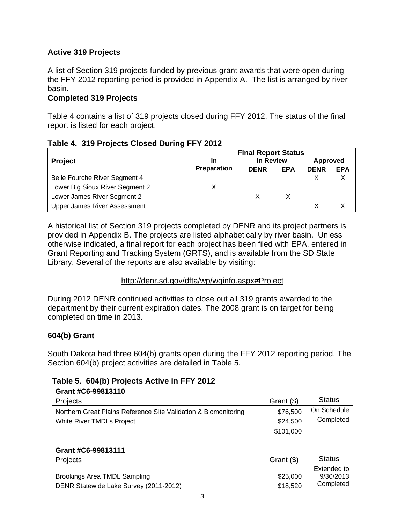## **Active 319 Projects**

A list of Section 319 projects funded by previous grant awards that were open during the FFY 2012 reporting period is provided in Appendix A. The list is arranged by river basin.

#### **Completed 319 Projects**

Table 4 contains a list of 319 projects closed during FFY 2012. The status of the final report is listed for each project.

#### **Table 4. 319 Projects Closed During FFY 2012**

|                                     | <b>Final Report Status</b> |             |            |             |            |
|-------------------------------------|----------------------------|-------------|------------|-------------|------------|
| <b>Project</b>                      | In                         | In Review   |            | Approved    |            |
|                                     | <b>Preparation</b>         | <b>DENR</b> | <b>EPA</b> | <b>DENR</b> | <b>EPA</b> |
| Belle Fourche River Segment 4       |                            |             |            |             |            |
| Lower Big Sioux River Segment 2     |                            |             |            |             |            |
| Lower James River Segment 2         |                            |             |            |             |            |
| <b>Upper James River Assessment</b> |                            |             |            |             |            |

A historical list of Section 319 projects completed by DENR and its project partners is provided in Appendix B. The projects are listed alphabetically by river basin. Unless otherwise indicated, a final report for each project has been filed with EPA, entered in Grant Reporting and Tracking System (GRTS), and is available from the SD State Library. Several of the reports are also available by visiting:

#### http://denr.sd.gov/dfta/wp/wqinfo.aspx#Project

During 2012 DENR continued activities to close out all 319 grants awarded to the department by their current expiration dates. The 2008 grant is on target for being completed on time in 2013.

#### **604(b) Grant**

South Dakota had three 604(b) grants open during the FFY 2012 reporting period. The Section 604(b) project activities are detailed in Table 5.

#### **Table 5. 604(b) Projects Active in FFY 2012**

| Grant #C6-99813110                                              |              |               |
|-----------------------------------------------------------------|--------------|---------------|
| <b>Projects</b>                                                 | Grant $(\$)$ | <b>Status</b> |
| Northern Great Plains Reference Site Validation & Biomonitoring | \$76,500     | On Schedule   |
| White River TMDLs Project                                       | \$24,500     | Completed     |
|                                                                 | \$101,000    |               |
|                                                                 |              |               |
| Grant #C6-99813111                                              |              |               |
| <b>Projects</b>                                                 | Grant (\$)   | <b>Status</b> |
|                                                                 |              | Extended to   |
| Brookings Area TMDL Sampling                                    | \$25,000     | 9/30/2013     |
| DENR Statewide Lake Survey (2011-2012)                          | \$18,520     | Completed     |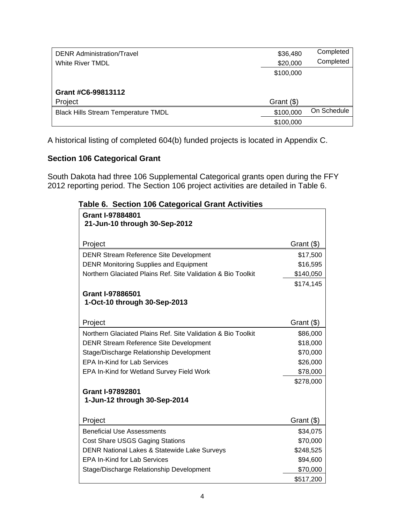| <b>DENR Administration/Travel</b>          | \$36,480   | Completed   |
|--------------------------------------------|------------|-------------|
| <b>White River TMDL</b>                    | \$20,000   | Completed   |
|                                            | \$100,000  |             |
|                                            |            |             |
| Grant #C6-99813112                         |            |             |
| Project                                    | Grant (\$) |             |
| <b>Black Hills Stream Temperature TMDL</b> | \$100,000  | On Schedule |
|                                            | \$100,000  |             |

A historical listing of completed 604(b) funded projects is located in Appendix C.

# **Section 106 Categorical Grant**

South Dakota had three 106 Supplemental Categorical grants open during the FFY 2012 reporting period. The Section 106 project activities are detailed in Table 6.

| <b>Grant I-97884801</b><br>21-Jun-10 through 30-Sep-2012     |            |
|--------------------------------------------------------------|------------|
| Project                                                      | Grant (\$) |
| <b>DENR Stream Reference Site Development</b>                | \$17,500   |
| <b>DENR Monitoring Supplies and Equipment</b>                | \$16,595   |
| Northern Glaciated Plains Ref. Site Validation & Bio Toolkit | \$140,050  |
|                                                              | \$174,145  |
| Grant I-97886501                                             |            |
| 1-Oct-10 through 30-Sep-2013                                 |            |
| Project                                                      | Grant (\$) |
| Northern Glaciated Plains Ref. Site Validation & Bio Toolkit | \$86,000   |
| <b>DENR Stream Reference Site Development</b>                | \$18,000   |
| Stage/Discharge Relationship Development                     | \$70,000   |
| <b>EPA In-Kind for Lab Services</b>                          | \$26,000   |
| EPA In-Kind for Wetland Survey Field Work                    | \$78,000   |
|                                                              | \$278,000  |
| <b>Grant I-97892801</b>                                      |            |
| 1-Jun-12 through 30-Sep-2014                                 |            |
| Project                                                      | Grant (\$) |
| <b>Beneficial Use Assessments</b>                            | \$34,075   |
| <b>Cost Share USGS Gaging Stations</b>                       | \$70,000   |
| DENR National Lakes & Statewide Lake Surveys                 | \$248,525  |
| <b>EPA In-Kind for Lab Services</b>                          | \$94,600   |
| Stage/Discharge Relationship Development                     | \$70,000   |
|                                                              | \$517,200  |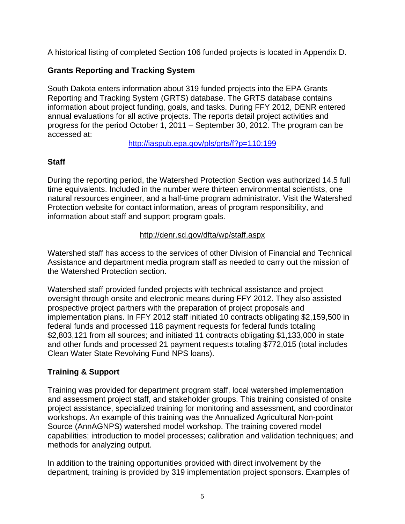A historical listing of completed Section 106 funded projects is located in Appendix D.

# **Grants Reporting and Tracking System**

South Dakota enters information about 319 funded projects into the EPA Grants Reporting and Tracking System (GRTS) database. The GRTS database contains information about project funding, goals, and tasks. During FFY 2012, DENR entered annual evaluations for all active projects. The reports detail project activities and progress for the period October 1, 2011 – September 30, 2012. The program can be accessed at:

http://iaspub.epa.gov/pls/grts/f?p=110:199

# **Staff**

During the reporting period, the Watershed Protection Section was authorized 14.5 full time equivalents. Included in the number were thirteen environmental scientists, one natural resources engineer, and a half-time program administrator. Visit the Watershed Protection website for contact information, areas of program responsibility, and information about staff and support program goals.

#### http://denr.sd.gov/dfta/wp/staff.aspx

Watershed staff has access to the services of other Division of Financial and Technical Assistance and department media program staff as needed to carry out the mission of the Watershed Protection section.

Watershed staff provided funded projects with technical assistance and project oversight through onsite and electronic means during FFY 2012. They also assisted prospective project partners with the preparation of project proposals and implementation plans. In FFY 2012 staff initiated 10 contracts obligating \$2,159,500 in federal funds and processed 118 payment requests for federal funds totaling \$2,803,121 from all sources; and initiated 11 contracts obligating \$1,133,000 in state and other funds and processed 21 payment requests totaling \$772,015 (total includes Clean Water State Revolving Fund NPS loans).

#### **Training & Support**

Training was provided for department program staff, local watershed implementation and assessment project staff, and stakeholder groups. This training consisted of onsite project assistance, specialized training for monitoring and assessment, and coordinator workshops. An example of this training was the Annualized Agricultural Non-point Source (AnnAGNPS) watershed model workshop. The training covered model capabilities; introduction to model processes; calibration and validation techniques; and methods for analyzing output.

In addition to the training opportunities provided with direct involvement by the department, training is provided by 319 implementation project sponsors. Examples of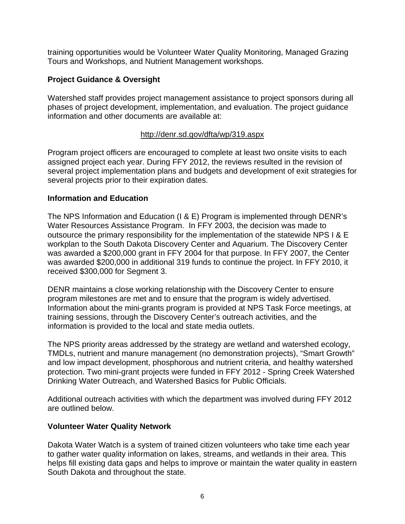training opportunities would be Volunteer Water Quality Monitoring, Managed Grazing Tours and Workshops, and Nutrient Management workshops.

#### **Project Guidance & Oversight**

Watershed staff provides project management assistance to project sponsors during all phases of project development, implementation, and evaluation. The project guidance information and other documents are available at:

#### http://denr.sd.gov/dfta/wp/319.aspx

Program project officers are encouraged to complete at least two onsite visits to each assigned project each year. During FFY 2012, the reviews resulted in the revision of several project implementation plans and budgets and development of exit strategies for several projects prior to their expiration dates.

#### **Information and Education**

The NPS Information and Education (I & E) Program is implemented through DENR's Water Resources Assistance Program. In FFY 2003, the decision was made to outsource the primary responsibility for the implementation of the statewide NPS I & E workplan to the South Dakota Discovery Center and Aquarium. The Discovery Center was awarded a \$200,000 grant in FFY 2004 for that purpose. In FFY 2007, the Center was awarded \$200,000 in additional 319 funds to continue the project. In FFY 2010, it received \$300,000 for Segment 3.

DENR maintains a close working relationship with the Discovery Center to ensure program milestones are met and to ensure that the program is widely advertised. Information about the mini-grants program is provided at NPS Task Force meetings, at training sessions, through the Discovery Center's outreach activities, and the information is provided to the local and state media outlets.

The NPS priority areas addressed by the strategy are wetland and watershed ecology, TMDLs, nutrient and manure management (no demonstration projects), "Smart Growth" and low impact development, phosphorous and nutrient criteria, and healthy watershed protection. Two mini-grant projects were funded in FFY 2012 - Spring Creek Watershed Drinking Water Outreach, and Watershed Basics for Public Officials.

Additional outreach activities with which the department was involved during FFY 2012 are outlined below.

#### **Volunteer Water Quality Network**

Dakota Water Watch is a system of trained citizen volunteers who take time each year to gather water quality information on lakes, streams, and wetlands in their area. This helps fill existing data gaps and helps to improve or maintain the water quality in eastern South Dakota and throughout the state.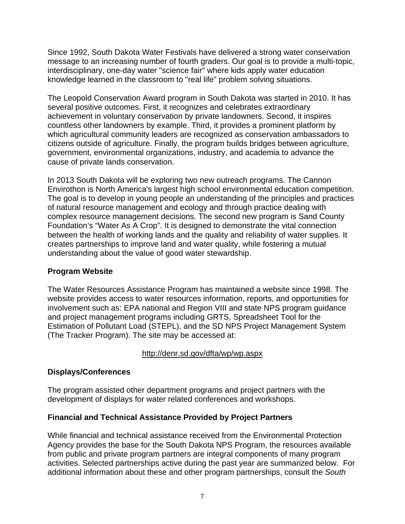Since 1992, South Dakota Water Festivals have delivered a strong water conservation message to an increasing number of fourth graders. Our goal is to provide a multi-topic, interdisciplinary, one-day water "science fair" where kids apply water education knowledge learned in the classroom to "real life" problem solving situations.

The Leopold Conservation Award program in South Dakota was started in 2010. It has several positive outcomes. First, it recognizes and celebrates extraordinary achievement in voluntary conservation by private landowners. Second, it inspires countless other landowners by example. Third, it provides a prominent platform by which agricultural community leaders are recognized as conservation ambassadors to citizens outside of agriculture. Finally, the program builds bridges between agriculture, government, environmental organizations, industry, and academia to advance the cause of private lands conservation.

In 2013 South Dakota will be exploring two new outreach programs. The Cannon Envirothon is North America's largest high school environmental education competition. The goal is to develop in young people an understanding of the principles and practices of natural resource management and ecology and through practice dealing with complex resource management decisions. The second new program is Sand County Foundation's "Water As A Crop". It is designed to demonstrate the vital connection between the health of working lands and the quality and reliability of water supplies. It creates partnerships to improve land and water quality, while fostering a mutual understanding about the value of good water stewardship.

#### **Program Website**

The Water Resources Assistance Program has maintained a website since 1998. The website provides access to water resources information, reports, and opportunities for involvement such as: EPA national and Region VIII and state NPS program guidance and project management programs including GRTS, Spreadsheet Tool for the Estimation of Pollutant Load (STEPL), and the SD NPS Project Management System (The Tracker Program). The site may be accessed at:

#### http://denr.sd.gov/dfta/wp/wp.aspx

#### **Displays/Conferences**

The program assisted other department programs and project partners with the development of displays for water related conferences and workshops.

#### **Financial and Technical Assistance Provided by Project Partners**

While financial and technical assistance received from the Environmental Protection Agency provides the base for the South Dakota NPS Program, the resources available from public and private program partners are integral components of many program activities. Selected partnerships active during the past year are summarized below. For additional information about these and other program partnerships, consult the *South*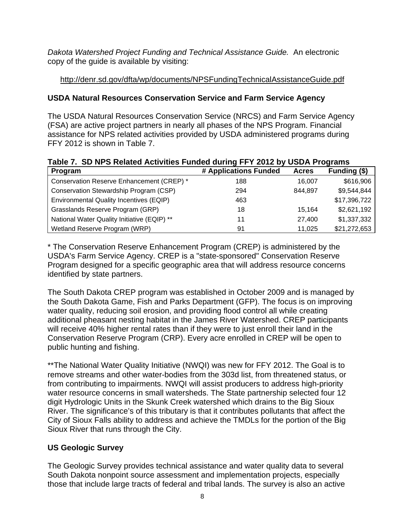*Dakota Watershed Project Funding and Technical Assistance Guide.* An electronic copy of the guide is available by visiting:

# http://denr.sd.gov/dfta/wp/documents/NPSFundingTechnicalAssistanceGuide.pdf

# **USDA Natural Resources Conservation Service and Farm Service Agency**

The USDA Natural Resources Conservation Service (NRCS) and Farm Service Agency (FSA) are active project partners in nearly all phases of the NPS Program. Financial assistance for NPS related activities provided by USDA administered programs during FFY 2012 is shown in Table 7.

| Table 7. SD NPS Related Activities Funded during FFY 2012 by USDA Programs |  |
|----------------------------------------------------------------------------|--|
|----------------------------------------------------------------------------|--|

| Program                                     | # Applications Funded | <b>Acres</b> | Funding (\$) |
|---------------------------------------------|-----------------------|--------------|--------------|
| Conservation Reserve Enhancement (CREP) *   | 188                   | 16.007       | \$616,906    |
| Conservation Stewardship Program (CSP)      | 294                   | 844,897      | \$9,544,844  |
| Environmental Quality Incentives (EQIP)     | 463                   |              | \$17,396,722 |
| Grasslands Reserve Program (GRP)            | 18                    | 15.164       | \$2,621,192  |
| National Water Quality Initiative (EQIP) ** | 11                    | 27.400       | \$1,337,332  |
| Wetland Reserve Program (WRP)               | 91                    | 11,025       | \$21,272,653 |

\* The Conservation Reserve Enhancement Program (CREP) is administered by the USDA's Farm Service Agency. CREP is a "state-sponsored" Conservation Reserve Program designed for a specific geographic area that will address resource concerns identified by state partners.

The South Dakota CREP program was established in October 2009 and is managed by the South Dakota Game, Fish and Parks Department (GFP). The focus is on improving water quality, reducing soil erosion, and providing flood control all while creating additional pheasant nesting habitat in the James River Watershed. CREP participants will receive 40% higher rental rates than if they were to just enroll their land in the Conservation Reserve Program (CRP). Every acre enrolled in CREP will be open to public hunting and fishing.

\*\*The National Water Quality Initiative (NWQI) was new for FFY 2012. The Goal is to remove streams and other water-bodies from the 303d list, from threatened status, or from contributing to impairments. NWQI will assist producers to address high-priority water resource concerns in small watersheds. The State partnership selected four 12 digit Hydrologic Units in the Skunk Creek watershed which drains to the Big Sioux River. The significance's of this tributary is that it contributes pollutants that affect the City of Sioux Falls ability to address and achieve the TMDLs for the portion of the Big Sioux River that runs through the City.

#### **US Geologic Survey**

The Geologic Survey provides technical assistance and water quality data to several South Dakota nonpoint source assessment and implementation projects, especially those that include large tracts of federal and tribal lands. The survey is also an active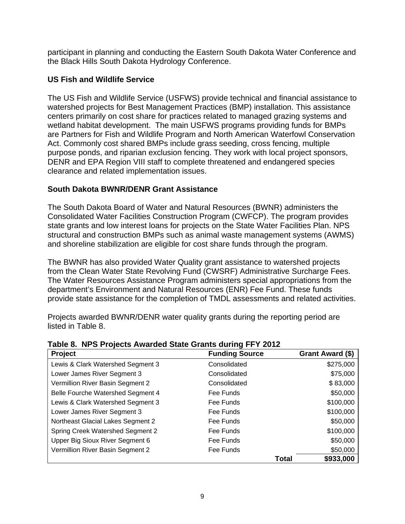participant in planning and conducting the Eastern South Dakota Water Conference and the Black Hills South Dakota Hydrology Conference.

## **US Fish and Wildlife Service**

The US Fish and Wildlife Service (USFWS) provide technical and financial assistance to watershed projects for Best Management Practices (BMP) installation. This assistance centers primarily on cost share for practices related to managed grazing systems and wetland habitat development. The main USFWS programs providing funds for BMPs are Partners for Fish and Wildlife Program and North American Waterfowl Conservation Act. Commonly cost shared BMPs include grass seeding, cross fencing, multiple purpose ponds, and riparian exclusion fencing. They work with local project sponsors, DENR and EPA Region VIII staff to complete threatened and endangered species clearance and related implementation issues.

# **South Dakota BWNR/DENR Grant Assistance**

The South Dakota Board of Water and Natural Resources (BWNR) administers the Consolidated Water Facilities Construction Program (CWFCP). The program provides state grants and low interest loans for projects on the State Water Facilities Plan. NPS structural and construction BMPs such as animal waste management systems (AWMS) and shoreline stabilization are eligible for cost share funds through the program.

The BWNR has also provided Water Quality grant assistance to watershed projects from the Clean Water State Revolving Fund (CWSRF) Administrative Surcharge Fees. The Water Resources Assistance Program administers special appropriations from the department's Environment and Natural Resources (ENR) Fee Fund. These funds provide state assistance for the completion of TMDL assessments and related activities.

Projects awarded BWNR/DENR water quality grants during the reporting period are listed in Table 8.

| Project                           | <b>Funding Source</b> |              | Grant Award (\$) |
|-----------------------------------|-----------------------|--------------|------------------|
| Lewis & Clark Watershed Segment 3 | Consolidated          |              | \$275,000        |
| Lower James River Segment 3       | Consolidated          |              | \$75,000         |
| Vermillion River Basin Segment 2  | Consolidated          |              | \$83,000         |
| Belle Fourche Watershed Segment 4 | Fee Funds             |              | \$50,000         |
| Lewis & Clark Watershed Segment 3 | Fee Funds             |              | \$100,000        |
| Lower James River Segment 3       | Fee Funds             |              | \$100,000        |
| Northeast Glacial Lakes Segment 2 | Fee Funds             |              | \$50,000         |
| Spring Creek Watershed Segment 2  | Fee Funds             |              | \$100,000        |
| Upper Big Sioux River Segment 6   | Fee Funds             |              | \$50,000         |
| Vermillion River Basin Segment 2  | Fee Funds             |              | \$50,000         |
|                                   |                       | <b>Total</b> | \$933,000        |

**Table 8. NPS Projects Awarded State Grants during FFY 2012**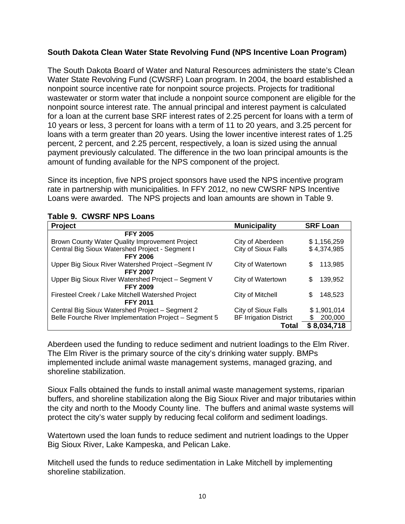#### **South Dakota Clean Water State Revolving Fund (NPS Incentive Loan Program)**

The South Dakota Board of Water and Natural Resources administers the state's Clean Water State Revolving Fund (CWSRF) Loan program. In 2004, the board established a nonpoint source incentive rate for nonpoint source projects. Projects for traditional wastewater or storm water that include a nonpoint source component are eligible for the nonpoint source interest rate. The annual principal and interest payment is calculated for a loan at the current base SRF interest rates of 2.25 percent for loans with a term of 10 years or less, 3 percent for loans with a term of 11 to 20 years, and 3.25 percent for loans with a term greater than 20 years. Using the lower incentive interest rates of 1.25 percent, 2 percent, and 2.25 percent, respectively, a loan is sized using the annual payment previously calculated. The difference in the two loan principal amounts is the amount of funding available for the NPS component of the project.

Since its inception, five NPS project sponsors have used the NPS incentive program rate in partnership with municipalities. In FFY 2012, no new CWSRF NPS Incentive Loans were awarded. The NPS projects and loan amounts are shown in Table 9.

| Project                                                | <b>Municipality</b>           | <b>SRF Loan</b> |
|--------------------------------------------------------|-------------------------------|-----------------|
| <b>FFY 2005</b>                                        |                               |                 |
| Brown County Water Quality Improvement Project         | City of Aberdeen              | \$1,156,259     |
| Central Big Sioux Watershed Project - Segment I        | City of Sioux Falls           | \$4,374,985     |
| <b>FFY 2006</b>                                        |                               |                 |
| Upper Big Sioux River Watershed Project - Segment IV   | City of Watertown             | \$<br>113,985   |
| <b>FFY 2007</b>                                        |                               |                 |
| Upper Big Sioux River Watershed Project - Segment V    | City of Watertown             | \$<br>139,952   |
| <b>FFY 2009</b>                                        |                               |                 |
| Firesteel Creek / Lake Mitchell Watershed Project      | City of Mitchell              | 148,523<br>\$   |
| <b>FFY 2011</b>                                        |                               |                 |
| Central Big Sioux Watershed Project - Segment 2        | City of Sioux Falls           | \$1,901,014     |
| Belle Fourche River Implementation Project - Segment 5 | <b>BF Irrigation District</b> | S<br>200,000    |
|                                                        | <b>Total</b>                  | \$8,034,718     |

#### **Table 9. CWSRF NPS Loans**

Aberdeen used the funding to reduce sediment and nutrient loadings to the Elm River. The Elm River is the primary source of the city's drinking water supply. BMPs implemented include animal waste management systems, managed grazing, and shoreline stabilization.

Sioux Falls obtained the funds to install animal waste management systems, riparian buffers, and shoreline stabilization along the Big Sioux River and major tributaries within the city and north to the Moody County line. The buffers and animal waste systems will protect the city's water supply by reducing fecal coliform and sediment loadings.

Watertown used the loan funds to reduce sediment and nutrient loadings to the Upper Big Sioux River, Lake Kampeska, and Pelican Lake.

Mitchell used the funds to reduce sedimentation in Lake Mitchell by implementing shoreline stabilization.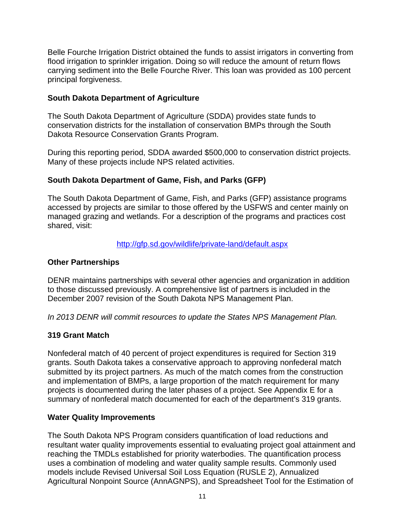Belle Fourche Irrigation District obtained the funds to assist irrigators in converting from flood irrigation to sprinkler irrigation. Doing so will reduce the amount of return flows carrying sediment into the Belle Fourche River. This loan was provided as 100 percent principal forgiveness.

#### **South Dakota Department of Agriculture**

The South Dakota Department of Agriculture (SDDA) provides state funds to conservation districts for the installation of conservation BMPs through the South Dakota Resource Conservation Grants Program.

During this reporting period, SDDA awarded \$500,000 to conservation district projects. Many of these projects include NPS related activities.

#### **South Dakota Department of Game, Fish, and Parks (GFP)**

The South Dakota Department of Game, Fish, and Parks (GFP) assistance programs accessed by projects are similar to those offered by the USFWS and center mainly on managed grazing and wetlands. For a description of the programs and practices cost shared, visit:

#### http://gfp.sd.gov/wildlife/private-land/default.aspx

#### **Other Partnerships**

DENR maintains partnerships with several other agencies and organization in addition to those discussed previously. A comprehensive list of partners is included in the December 2007 revision of the South Dakota NPS Management Plan.

*In 2013 DENR will commit resources to update the States NPS Management Plan.* 

#### **319 Grant Match**

Nonfederal match of 40 percent of project expenditures is required for Section 319 grants. South Dakota takes a conservative approach to approving nonfederal match submitted by its project partners. As much of the match comes from the construction and implementation of BMPs, a large proportion of the match requirement for many projects is documented during the later phases of a project. See Appendix E for a summary of nonfederal match documented for each of the department's 319 grants.

#### **Water Quality Improvements**

The South Dakota NPS Program considers quantification of load reductions and resultant water quality improvements essential to evaluating project goal attainment and reaching the TMDLs established for priority waterbodies. The quantification process uses a combination of modeling and water quality sample results. Commonly used models include Revised Universal Soil Loss Equation (RUSLE 2), Annualized Agricultural Nonpoint Source (AnnAGNPS), and Spreadsheet Tool for the Estimation of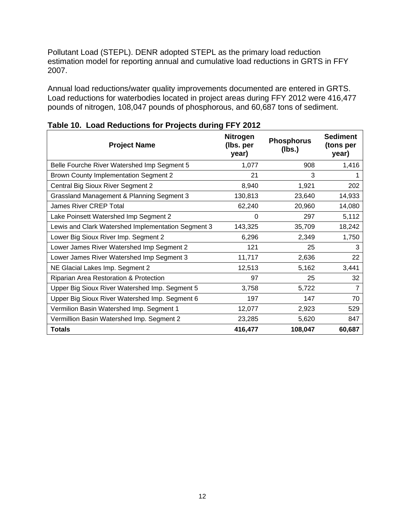Pollutant Load (STEPL). DENR adopted STEPL as the primary load reduction estimation model for reporting annual and cumulative load reductions in GRTS in FFY 2007.

Annual load reductions/water quality improvements documented are entered in GRTS. Load reductions for waterbodies located in project areas during FFY 2012 were 416,477 pounds of nitrogen, 108,047 pounds of phosphorous, and 60,687 tons of sediment.

| <b>Project Name</b>                                | <b>Nitrogen</b><br>(Ibs. per<br>year) | <b>Phosphorus</b><br>(Ibs.) | <b>Sediment</b><br>(tons per<br>year) |
|----------------------------------------------------|---------------------------------------|-----------------------------|---------------------------------------|
| Belle Fourche River Watershed Imp Segment 5        | 1,077                                 | 908                         | 1,416                                 |
| <b>Brown County Implementation Segment 2</b>       | 21                                    | 3                           |                                       |
| Central Big Sioux River Segment 2                  | 8,940                                 | 1,921                       | 202                                   |
| Grassland Management & Planning Segment 3          | 130,813                               | 23,640                      | 14,933                                |
| <b>James River CREP Total</b>                      | 62,240                                | 20,960                      | 14,080                                |
| Lake Poinsett Watershed Imp Segment 2              | 0                                     | 297                         | 5,112                                 |
| Lewis and Clark Watershed Implementation Segment 3 | 143,325                               | 35,709                      | 18,242                                |
| Lower Big Sioux River Imp. Segment 2               | 6,296                                 | 2,349                       | 1,750                                 |
| Lower James River Watershed Imp Segment 2          | 121                                   | 25                          | 3                                     |
| Lower James River Watershed Imp Segment 3          | 11,717                                | 2,636                       | 22                                    |
| NE Glacial Lakes Imp. Segment 2                    | 12,513                                | 5,162                       | 3,441                                 |
| Riparian Area Restoration & Protection             | 97                                    | 25                          | 32                                    |
| Upper Big Sioux River Watershed Imp. Segment 5     | 3,758                                 | 5,722                       |                                       |
| Upper Big Sioux River Watershed Imp. Segment 6     | 197                                   | 147                         | 70                                    |
| Vermilion Basin Watershed Imp. Segment 1           | 12,077                                | 2,923                       | 529                                   |
| Vermillion Basin Watershed Imp. Segment 2          | 23,285                                | 5,620                       | 847                                   |
| <b>Totals</b>                                      | 416,477                               | 108,047                     | 60,687                                |

**Table 10. Load Reductions for Projects during FFY 2012**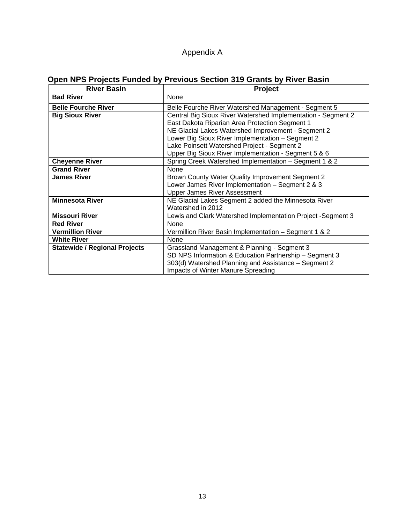# Appendix A

# **Open NPS Projects Funded by Previous Section 319 Grants by River Basin**

| <b>River Basin</b>                   | Project                                                      |  |  |
|--------------------------------------|--------------------------------------------------------------|--|--|
| <b>Bad River</b>                     | <b>None</b>                                                  |  |  |
| <b>Belle Fourche River</b>           | Belle Fourche River Watershed Management - Segment 5         |  |  |
| <b>Big Sioux River</b>               | Central Big Sioux River Watershed Implementation - Segment 2 |  |  |
|                                      | East Dakota Riparian Area Protection Segment 1               |  |  |
|                                      | NE Glacial Lakes Watershed Improvement - Segment 2           |  |  |
|                                      | Lower Big Sioux River Implementation - Segment 2             |  |  |
|                                      | Lake Poinsett Watershed Project - Segment 2                  |  |  |
|                                      | Upper Big Sioux River Implementation - Segment 5 & 6         |  |  |
| <b>Cheyenne River</b>                | Spring Creek Watershed Implementation - Segment 1 & 2        |  |  |
| <b>Grand River</b>                   | None                                                         |  |  |
| <b>James River</b>                   | Brown County Water Quality Improvement Segment 2             |  |  |
|                                      | Lower James River Implementation - Segment 2 & 3             |  |  |
|                                      | <b>Upper James River Assessment</b>                          |  |  |
| <b>Minnesota River</b>               | NE Glacial Lakes Segment 2 added the Minnesota River         |  |  |
|                                      | Watershed in 2012                                            |  |  |
| <b>Missouri River</b>                | Lewis and Clark Watershed Implementation Project -Segment 3  |  |  |
| <b>Red River</b>                     | None                                                         |  |  |
| <b>Vermillion River</b>              | Vermillion River Basin Implementation - Segment 1 & 2        |  |  |
| <b>White River</b>                   | None                                                         |  |  |
| <b>Statewide / Regional Projects</b> | Grassland Management & Planning - Segment 3                  |  |  |
|                                      | SD NPS Information & Education Partnership - Segment 3       |  |  |
|                                      | 303(d) Watershed Planning and Assistance - Segment 2         |  |  |
|                                      | Impacts of Winter Manure Spreading                           |  |  |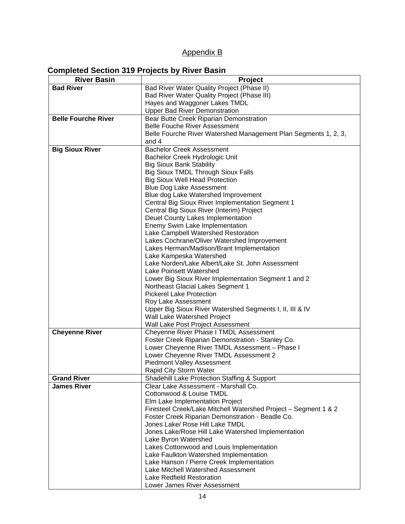# Appendix B

#### **Completed Section 319 Projects by River Basin**

| <b>River Basin</b>         | Project                                                                                  |  |  |  |
|----------------------------|------------------------------------------------------------------------------------------|--|--|--|
| <b>Bad River</b>           | Bad River Water Quality Project (Phase II)                                               |  |  |  |
|                            | Bad River Water Quality Project (Phase III)                                              |  |  |  |
|                            | Hayes and Waggoner Lakes TMDL                                                            |  |  |  |
|                            | <b>Upper Bad River Demonstration</b>                                                     |  |  |  |
| <b>Belle Fourche River</b> | Bear Butte Creek Riparian Demonstration                                                  |  |  |  |
|                            | <b>Belle Fouche River Assessment</b>                                                     |  |  |  |
|                            | Belle Fourche River Watershed Management Plan Segments 1, 2, 3,                          |  |  |  |
|                            | and 4                                                                                    |  |  |  |
| <b>Big Sioux River</b>     | <b>Bachelor Creek Assessment</b>                                                         |  |  |  |
|                            | Bachelor Creek Hydrologic Unit                                                           |  |  |  |
|                            | <b>Big Sioux Bank Stability</b>                                                          |  |  |  |
|                            | <b>Big Sioux TMDL Through Sioux Falls</b>                                                |  |  |  |
|                            | <b>Big Sioux Well Head Protection</b>                                                    |  |  |  |
|                            | <b>Blue Dog Lake Assessment</b>                                                          |  |  |  |
|                            | Blue dog Lake Watershed Improvement                                                      |  |  |  |
|                            | Central Big Sioux River Implementation Segment 1                                         |  |  |  |
|                            | Central Big Sioux River (Interim) Project                                                |  |  |  |
|                            | Deuel County Lakes Implementation                                                        |  |  |  |
|                            | Enemy Swim Lake Implementation                                                           |  |  |  |
|                            | Lake Campbell Watershed Restoration                                                      |  |  |  |
|                            | Lakes Cochrane/Oliver Watershed Improvement<br>Lakes Herman/Madison/Brant Implementation |  |  |  |
|                            | Lake Kampeska Watershed                                                                  |  |  |  |
|                            | Lake Norden/Lake Albert/Lake St. John Assessment                                         |  |  |  |
|                            | Lake Poinsett Watershed                                                                  |  |  |  |
|                            | Lower Big Sioux River Implementation Segment 1 and 2                                     |  |  |  |
|                            | Northeast Glacial Lakes Segment 1                                                        |  |  |  |
|                            | <b>Pickerel Lake Protection</b>                                                          |  |  |  |
|                            | Roy Lake Assessment                                                                      |  |  |  |
|                            | Upper Big Sioux River Watershed Segments I, II, III & IV                                 |  |  |  |
|                            | Wall Lake Watershed Project                                                              |  |  |  |
|                            | Wall Lake Post Project Assessment                                                        |  |  |  |
| <b>Cheyenne River</b>      | Cheyenne River Phase I TMDL Assessment                                                   |  |  |  |
|                            | Foster Creek Riparian Demonstration - Stanley Co.                                        |  |  |  |
|                            | Lower Cheyenne River TMDL Assessment - Phase I                                           |  |  |  |
|                            | Lower Cheyenne River TMDL Assessment 2                                                   |  |  |  |
|                            | <b>Piedmont Valley Assessment</b>                                                        |  |  |  |
|                            | Rapid City Storm Water                                                                   |  |  |  |
| <b>Grand River</b>         | Shadehill Lake Protection Staffing & Support                                             |  |  |  |
| <b>James River</b>         | Clear Lake Assessment - Marshall Co.                                                     |  |  |  |
|                            | Cottonwood & Louise TMDL                                                                 |  |  |  |
|                            | Elm Lake Implementation Project                                                          |  |  |  |
|                            | Firesteel Creek/Lake Mitchell Watershed Project - Segment 1 & 2                          |  |  |  |
|                            | Foster Creek Riparian Demonstration - Beadle Co.                                         |  |  |  |
|                            | Jones Lake/ Rose Hill Lake TMDL                                                          |  |  |  |
|                            | Jones Lake/Rose Hill Lake Watershed Implementation                                       |  |  |  |
|                            | Lake Byron Watershed                                                                     |  |  |  |
|                            | Lakes Cottonwood and Louis Implementation                                                |  |  |  |
|                            | Lake Faulkton Watershed Implementation                                                   |  |  |  |
|                            | Lake Hanson / Pierre Creek Implementation                                                |  |  |  |
|                            | Lake Mitchell Watershed Assessment                                                       |  |  |  |
|                            | Lake Redfield Restoration                                                                |  |  |  |
|                            | Lower James River Assessment                                                             |  |  |  |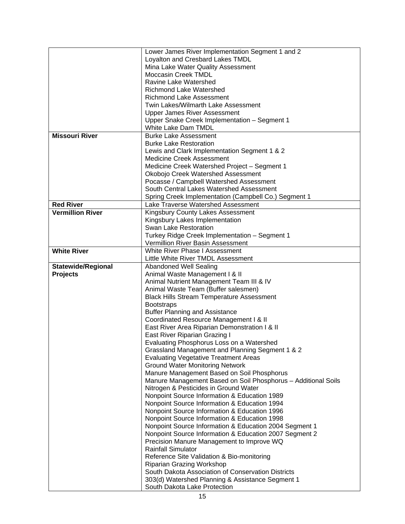|                           | Lower James River Implementation Segment 1 and 2              |  |  |
|---------------------------|---------------------------------------------------------------|--|--|
|                           | Loyalton and Cresbard Lakes TMDL                              |  |  |
|                           | Mina Lake Water Quality Assessment                            |  |  |
|                           | <b>Moccasin Creek TMDL</b>                                    |  |  |
|                           | Ravine Lake Watershed                                         |  |  |
|                           | <b>Richmond Lake Watershed</b>                                |  |  |
|                           | <b>Richmond Lake Assessment</b>                               |  |  |
|                           | Twin Lakes/Wilmarth Lake Assessment                           |  |  |
|                           | <b>Upper James River Assessment</b>                           |  |  |
|                           | Upper Snake Creek Implementation - Segment 1                  |  |  |
|                           | White Lake Dam TMDL                                           |  |  |
| <b>Missouri River</b>     | <b>Burke Lake Assessment</b>                                  |  |  |
|                           | <b>Burke Lake Restoration</b>                                 |  |  |
|                           | Lewis and Clark Implementation Segment 1 & 2                  |  |  |
|                           | Medicine Creek Assessment                                     |  |  |
|                           | Medicine Creek Watershed Project - Segment 1                  |  |  |
|                           | Okobojo Creek Watershed Assessment                            |  |  |
|                           | Pocasse / Campbell Watershed Assessment                       |  |  |
|                           | South Central Lakes Watershed Assessment                      |  |  |
|                           | Spring Creek Implementation (Campbell Co.) Segment 1          |  |  |
| <b>Red River</b>          | Lake Traverse Watershed Assessment                            |  |  |
| <b>Vermillion River</b>   | Kingsbury County Lakes Assessment                             |  |  |
|                           | Kingsbury Lakes Implementation                                |  |  |
|                           | Swan Lake Restoration                                         |  |  |
|                           |                                                               |  |  |
|                           | Turkey Ridge Creek Implementation - Segment 1                 |  |  |
|                           | Vermillion River Basin Assessment                             |  |  |
| <b>White River</b>        | White River Phase I Assessment                                |  |  |
|                           | Little White River TMDL Assessment                            |  |  |
| <b>Statewide/Regional</b> | <b>Abandoned Well Sealing</b>                                 |  |  |
| <b>Projects</b>           | Animal Waste Management I & II                                |  |  |
|                           |                                                               |  |  |
|                           | Animal Nutrient Management Team III & IV                      |  |  |
|                           | Animal Waste Team (Buffer salesmen)                           |  |  |
|                           | <b>Black Hills Stream Temperature Assessment</b>              |  |  |
|                           | <b>Bootstraps</b>                                             |  |  |
|                           | <b>Buffer Planning and Assistance</b>                         |  |  |
|                           | Coordinated Resource Management I & II                        |  |  |
|                           | East River Area Riparian Demonstration I & II                 |  |  |
|                           | East River Riparian Grazing I                                 |  |  |
|                           | Evaluating Phosphorus Loss on a Watershed                     |  |  |
|                           | Grassland Management and Planning Segment 1 & 2               |  |  |
|                           | <b>Evaluating Vegetative Treatment Areas</b>                  |  |  |
|                           | <b>Ground Water Monitoring Network</b>                        |  |  |
|                           | Manure Management Based on Soil Phosphorus                    |  |  |
|                           | Manure Management Based on Soil Phosphorus - Additional Soils |  |  |
|                           | Nitrogen & Pesticides in Ground Water                         |  |  |
|                           | Nonpoint Source Information & Education 1989                  |  |  |
|                           | Nonpoint Source Information & Education 1994                  |  |  |
|                           | Nonpoint Source Information & Education 1996                  |  |  |
|                           | Nonpoint Source Information & Education 1998                  |  |  |
|                           | Nonpoint Source Information & Education 2004 Segment 1        |  |  |
|                           | Nonpoint Source Information & Education 2007 Segment 2        |  |  |
|                           | Precision Manure Management to Improve WQ                     |  |  |
|                           | <b>Rainfall Simulator</b>                                     |  |  |
|                           | Reference Site Validation & Bio-monitoring                    |  |  |
|                           | Riparian Grazing Workshop                                     |  |  |
|                           | South Dakota Association of Conservation Districts            |  |  |
|                           | 303(d) Watershed Planning & Assistance Segment 1              |  |  |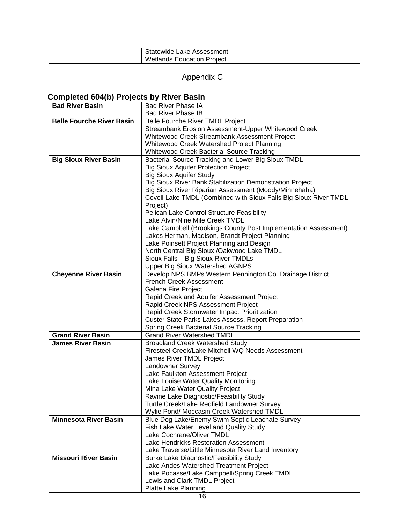| -<br>$-$<br>-аке<br>tewide<br>.ssmeni<br>833  |
|-----------------------------------------------|
| Wetlar.<br>Proiect<br>tion<br>11 I L<br>צו זו |

# Appendix C

# **Completed 604(b) Projects by River Basin**

| <b>Bad River Basin</b>           | <b>Bad River Phase IA</b>                                        |  |  |
|----------------------------------|------------------------------------------------------------------|--|--|
|                                  | <b>Bad River Phase IB</b>                                        |  |  |
| <b>Belle Fourche River Basin</b> | Belle Fourche River TMDL Project                                 |  |  |
|                                  | Streambank Erosion Assessment-Upper Whitewood Creek              |  |  |
|                                  | Whitewood Creek Streambank Assessment Project                    |  |  |
|                                  | Whitewood Creek Watershed Project Planning                       |  |  |
|                                  | Whitewood Creek Bacterial Source Tracking                        |  |  |
| <b>Big Sioux River Basin</b>     | Bacterial Source Tracking and Lower Big Sioux TMDL               |  |  |
|                                  | <b>Big Sioux Aquifer Protection Project</b>                      |  |  |
|                                  | <b>Big Sioux Aquifer Study</b>                                   |  |  |
|                                  |                                                                  |  |  |
|                                  | Big Sioux River Bank Stabilization Demonstration Project         |  |  |
|                                  | Big Sioux River Riparian Assessment (Moody/Minnehaha)            |  |  |
|                                  | Covell Lake TMDL (Combined with Sioux Falls Big Sioux River TMDL |  |  |
|                                  | Project)                                                         |  |  |
|                                  | Pelican Lake Control Structure Feasibility                       |  |  |
|                                  | Lake Alvin/Nine Mile Creek TMDL                                  |  |  |
|                                  | Lake Campbell (Brookings County Post Implementation Assessment)  |  |  |
|                                  | Lakes Herman, Madison, Brandt Project Planning                   |  |  |
|                                  | Lake Poinsett Project Planning and Design                        |  |  |
|                                  | North Central Big Sioux /Oakwood Lake TMDL                       |  |  |
|                                  | Sioux Falls - Big Sioux River TMDLs                              |  |  |
|                                  | <b>Upper Big Sioux Watershed AGNPS</b>                           |  |  |
| <b>Cheyenne River Basin</b>      | Develop NPS BMPs Western Pennington Co. Drainage District        |  |  |
|                                  | <b>French Creek Assessment</b>                                   |  |  |
|                                  | Galena Fire Project                                              |  |  |
|                                  | Rapid Creek and Aquifer Assessment Project                       |  |  |
|                                  | Rapid Creek NPS Assessment Project                               |  |  |
|                                  | Rapid Creek Stormwater Impact Prioritization                     |  |  |
|                                  | Custer State Parks Lakes Assess. Report Preparation              |  |  |
|                                  | <b>Spring Creek Bacterial Source Tracking</b>                    |  |  |
| <b>Grand River Basin</b>         | <b>Grand River Watershed TMDL</b>                                |  |  |
| James River Basin                | <b>Broadland Creek Watershed Study</b>                           |  |  |
|                                  | Firesteel Creek/Lake Mitchell WQ Needs Assessment                |  |  |
|                                  | James River TMDL Project                                         |  |  |
|                                  | Landowner Survey                                                 |  |  |
|                                  | Lake Faulkton Assessment Project                                 |  |  |
|                                  | Lake Louise Water Quality Monitoring                             |  |  |
|                                  | Mina Lake Water Quality Project                                  |  |  |
|                                  | Ravine Lake Diagnostic/Feasibility Study                         |  |  |
|                                  | Turtle Creek/Lake Redfield Landowner Survey                      |  |  |
|                                  |                                                                  |  |  |
| <b>Minnesota River Basin</b>     | Wylie Pond/ Moccasin Creek Watershed TMDL                        |  |  |
|                                  | Blue Dog Lake/Enemy Swim Septic Leachate Survey                  |  |  |
|                                  | Fish Lake Water Level and Quality Study                          |  |  |
|                                  | Lake Cochrane/Oliver TMDL                                        |  |  |
|                                  | Lake Hendricks Restoration Assessment                            |  |  |
|                                  | Lake Traverse/Little Minnesota River Land Inventory              |  |  |
| <b>Missouri River Basin</b>      | <b>Burke Lake Diagnostic/Feasibility Study</b>                   |  |  |
|                                  | Lake Andes Watershed Treatment Project                           |  |  |
|                                  | Lake Pocasse/Lake Campbell/Spring Creek TMDL                     |  |  |
|                                  | Lewis and Clark TMDL Project                                     |  |  |
|                                  | Platte Lake Planning                                             |  |  |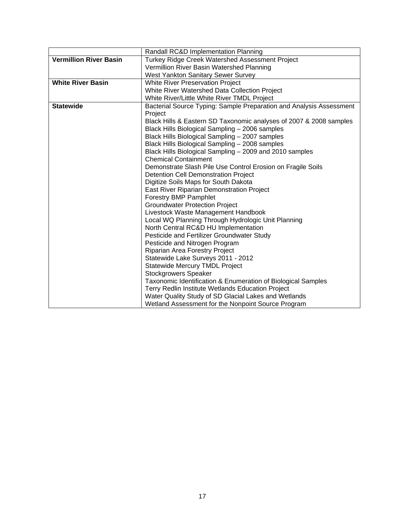|                               | Randall RC&D Implementation Planning                                |  |  |
|-------------------------------|---------------------------------------------------------------------|--|--|
| <b>Vermillion River Basin</b> | Turkey Ridge Creek Watershed Assessment Project                     |  |  |
|                               | Vermillion River Basin Watershed Planning                           |  |  |
|                               | West Yankton Sanitary Sewer Survey                                  |  |  |
| <b>White River Basin</b>      | <b>White River Preservation Project</b>                             |  |  |
|                               | White River Watershed Data Collection Project                       |  |  |
|                               | White River/Little White River TMDL Project                         |  |  |
| <b>Statewide</b>              | Bacterial Source Typing: Sample Preparation and Analysis Assessment |  |  |
|                               | Project                                                             |  |  |
|                               | Black Hills & Eastern SD Taxonomic analyses of 2007 & 2008 samples  |  |  |
|                               | Black Hills Biological Sampling - 2006 samples                      |  |  |
|                               | Black Hills Biological Sampling - 2007 samples                      |  |  |
|                               | Black Hills Biological Sampling - 2008 samples                      |  |  |
|                               | Black Hills Biological Sampling - 2009 and 2010 samples             |  |  |
|                               | <b>Chemical Containment</b>                                         |  |  |
|                               | Demonstrate Slash Pile Use Control Erosion on Fragile Soils         |  |  |
|                               | <b>Detention Cell Demonstration Project</b>                         |  |  |
|                               | Digitize Soils Maps for South Dakota                                |  |  |
|                               | East River Riparian Demonstration Project                           |  |  |
|                               | <b>Forestry BMP Pamphlet</b>                                        |  |  |
|                               | <b>Groundwater Protection Project</b>                               |  |  |
|                               | Livestock Waste Management Handbook                                 |  |  |
|                               | Local WQ Planning Through Hydrologic Unit Planning                  |  |  |
|                               | North Central RC&D HU Implementation                                |  |  |
|                               | Pesticide and Fertilizer Groundwater Study                          |  |  |
|                               | Pesticide and Nitrogen Program                                      |  |  |
|                               | Riparian Area Forestry Project                                      |  |  |
|                               | Statewide Lake Surveys 2011 - 2012                                  |  |  |
|                               | <b>Statewide Mercury TMDL Project</b>                               |  |  |
|                               | <b>Stockgrowers Speaker</b>                                         |  |  |
|                               | Taxonomic Identification & Enumeration of Biological Samples        |  |  |
|                               | Terry Redlin Institute Wetlands Education Project                   |  |  |
|                               | Water Quality Study of SD Glacial Lakes and Wetlands                |  |  |
|                               | Wetland Assessment for the Nonpoint Source Program                  |  |  |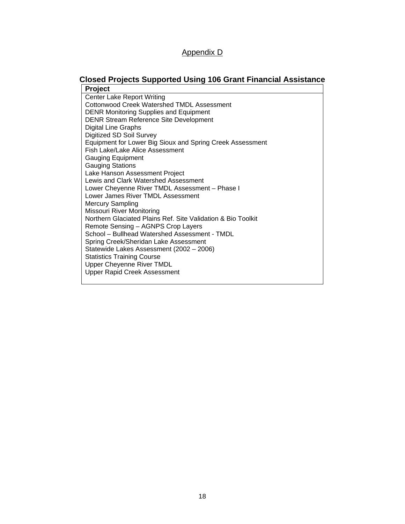# Appendix D

# **Closed Projects Supported Using 106 Grant Financial Assistance**